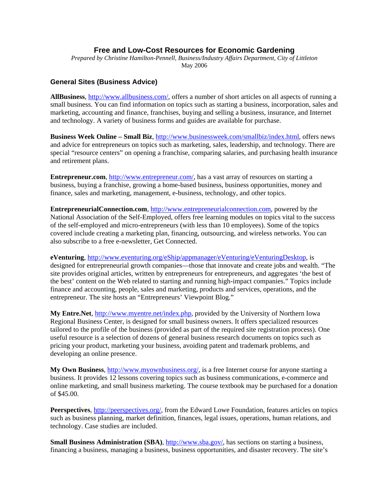# **Free and Low-Cost Resources for Economic Gardening**

*Prepared by Christine Hamilton-Pennell, Business/Industry Affairs Department, City of Littleton*  May 2006

#### **General Sites (Business Advice)**

**AllBusiness**, http://www.allbusiness.com/, offers a number of short articles on all aspects of running a small business. You can find information on topics such as starting a business, incorporation, sales and marketing, accounting and finance, franchises, buying and selling a business, insurance, and Internet and technology. A variety of business forms and guides are available for purchase.

**Business Week Online – Small Biz**, http://www.businessweek.com/smallbiz/index.html, offers news and advice for entrepreneurs on topics such as marketing, sales, leadership, and technology. There are special "resource centers" on opening a franchise, comparing salaries, and purchasing health insurance and retirement plans.

**Entrepreneur.com**, http://www.entrepreneur.com/, has a vast array of resources on starting a business, buying a franchise, growing a home-based business, business opportunities, money and finance, sales and marketing, management, e-business, technology, and other topics.

**EntrepreneurialConnection.com**, http://www.entrepreneurialconnection.com, powered by the National Association of the Self-Employed, offers free learning modules on topics vital to the success of the self-employed and micro-entrepreneurs (with less than 10 employees). Some of the topics covered include creating a marketing plan, financing, outsourcing, and wireless networks. You can also subscribe to a free e-newsletter, Get Connected.

**eVenturing**, http://www.eventuring.org/eShip/appmanager/eVenturing/eVenturingDesktop, is designed for entrepreneurial growth companies—those that innovate and create jobs and wealth. "The site provides original articles, written by entrepreneurs for entrepreneurs, and aggregates 'the best of the best' content on the Web related to starting and running high-impact companies." Topics include finance and accounting, people, sales and marketing, products and services, operations, and the entrepreneur. The site hosts an "Entrepreneurs' Viewpoint Blog."

My Entre.Net, http://www.myentre.net/index.php, provided by the University of Northern Iowa Regional Business Center, is designed for small business owners. It offers specialized resources tailored to the profile of the business (provided as part of the required site registration process). One useful resource is a selection of dozens of general business research documents on topics such as pricing your product, marketing your business, avoiding patent and trademark problems, and developing an online presence.

**My Own Business**, http://www.myownbusiness.org/, is a free Internet course for anyone starting a business. It provides 12 lessons covering topics such as business communications, e-commerce and online marketing, and small business marketing. The course textbook may be purchased for a donation of \$45.00.

**Peerspectives**, http://peerspectives.org/, from the Edward Lowe Foundation, features articles on topics such as business planning, market definition, finances, legal issues, operations, human relations, and technology. Case studies are included.

**Small Business Administration (SBA), http://www.sba.gov/, has sections on starting a business,** financing a business, managing a business, business opportunities, and disaster recovery. The site's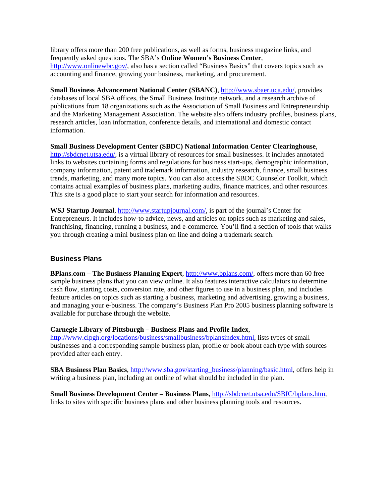library offers more than 200 free publications, as well as forms, business magazine links, and frequently asked questions. The SBA's **Online Women's Business Center**, http://www.onlinewbc.gov/, also has a section called "Business Basics" that covers topics such as accounting and finance, growing your business, marketing, and procurement.

**Small Business Advancement National Center (SBANC)**, http://www.sbaer.uca.edu/, provides databases of local SBA offices, the Small Business Institute network, and a research archive of publications from 18 organizations such as the Association of Small Business and Entrepreneurship and the Marketing Management Association. The website also offers industry profiles, business plans, research articles, loan information, conference details, and international and domestic contact information.

**Small Business Development Center (SBDC) National Information Center Clearinghouse**, http://sbdcnet.utsa.edu/, is a virtual library of resources for small businesses. It includes annotated links to websites containing forms and regulations for business start-ups, demographic information, company information, patent and trademark information, industry research, finance, small business trends, marketing, and many more topics. You can also access the SBDC Counselor Toolkit, which contains actual examples of business plans, marketing audits, finance matrices, and other resources. This site is a good place to start your search for information and resources.

**WSJ Startup Journal**, http://www.startupjournal.com/, is part of the journal's Center for Entrepreneurs. It includes how-to advice, news, and articles on topics such as marketing and sales, franchising, financing, running a business, and e-commerce. You'll find a section of tools that walks you through creating a mini business plan on line and doing a trademark search.

## **Business Plans**

**BPlans.com – The Business Planning Expert**, http://www.bplans.com/, offers more than 60 free sample business plans that you can view online. It also features interactive calculators to determine cash flow, starting costs, conversion rate, and other figures to use in a business plan, and includes feature articles on topics such as starting a business, marketing and advertising, growing a business, and managing your e-business. The company's Business Plan Pro 2005 business planning software is available for purchase through the website.

#### **Carnegie Library of Pittsburgh – Business Plans and Profile Index**,

http://www.clpgh.org/locations/business/smallbusiness/bplansindex.html, lists types of small businesses and a corresponding sample business plan, profile or book about each type with sources provided after each entry.

**SBA Business Plan Basics**, http://www.sba.gov/starting\_business/planning/basic.html, offers help in writing a business plan, including an outline of what should be included in the plan.

**Small Business Development Center – Business Plans**, http://sbdcnet.utsa.edu/SBIC/bplans.htm, links to sites with specific business plans and other business planning tools and resources.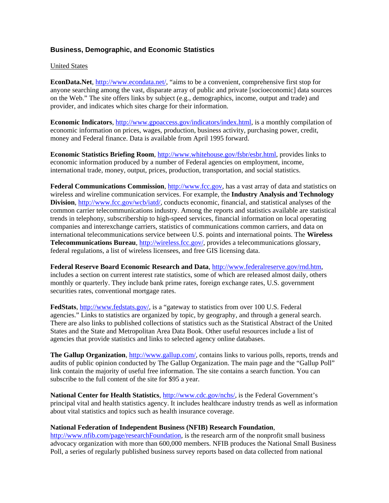# **Business, Demographic, and Economic Statistics**

#### United States

**EconData.Net**, http://www.econdata.net/, "aims to be a convenient, comprehensive first stop for anyone searching among the vast, disparate array of public and private [socioeconomic] data sources on the Web." The site offers links by subject (e.g., demographics, income, output and trade) and provider, and indicates which sites charge for their information.

**Economic Indicators**, http://www.gpoaccess.gov/indicators/index.html, is a monthly compilation of economic information on prices, wages, production, business activity, purchasing power, credit, money and Federal finance. Data is available from April 1995 forward.

**Economic Statistics Briefing Room**, http://www.whitehouse.gov/fsbr/esbr.html, provides links to economic information produced by a number of Federal agencies on employment, income, international trade, money, output, prices, production, transportation, and social statistics.

**Federal Communications Commission**, http://www.fcc.gov, has a vast array of data and statistics on wireless and wireline communication services. For example, the **Industry Analysis and Technology Division**, http://www.fcc.gov/wcb/iatd/, conducts economic, financial, and statistical analyses of the common carrier telecommunications industry. Among the reports and statistics available are statistical trends in telephony, subscribership to high-speed services, financial information on local operating companies and interexchange carriers, statistics of communications common carriers, and data on international telecommunications service between U.S. points and international points. The **Wireless Telecommunications Bureau**, http://wireless.fcc.gov/, provides a telecommunications glossary, federal regulations, a list of wireless licensees, and free GIS licensing data.

**Federal Reserve Board Economic Research and Data**, http://www.federalreserve.gov/rnd.htm, includes a section on current interest rate statistics, some of which are released almost daily, others monthly or quarterly. They include bank prime rates, foreign exchange rates, U.S. government securities rates, conventional mortgage rates.

FedStats, http://www.fedstats.gov/, is a "gateway to statistics from over 100 U.S. Federal agencies." Links to statistics are organized by topic, by geography, and through a general search. There are also links to published collections of statistics such as the Statistical Abstract of the United States and the State and Metropolitan Area Data Book. Other useful resources include a list of agencies that provide statistics and links to selected agency online databases.

**The Gallup Organization**, http://www.gallup.com/, contains links to various polls, reports, trends and audits of public opinion conducted by The Gallup Organization. The main page and the "Gallup Poll" link contain the majority of useful free information. The site contains a search function. You can subscribe to the full content of the site for \$95 a year.

**National Center for Health Statistics**, http://www.cdc.gov/nchs/, is the Federal Government's principal vital and health statistics agency. It includes healthcare industry trends as well as information about vital statistics and topics such as health insurance coverage.

#### **National Federation of Independent Business (NFIB) Research Foundation**,

http://www.nfib.com/page/researchFoundation, is the research arm of the nonprofit small business advocacy organization with more than 600,000 members. NFIB produces the National Small Business Poll, a series of regularly published business survey reports based on data collected from national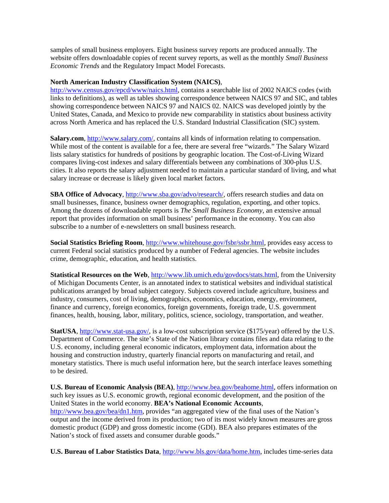samples of small business employers. Eight business survey reports are produced annually. The website offers downloadable copies of recent survey reports, as well as the monthly *Small Business Economic Trends* and the Regulatory Impact Model Forecasts.

### **North American Industry Classification System (NAICS)**,

http://www.census.gov/epcd/www/naics.html, contains a searchable list of 2002 NAICS codes (with links to definitions), as well as tables showing correspondence between NAICS 97 and SIC, and tables showing correspondence between NAICS 97 and NAICS 02. NAICS was developed jointly by the United States, Canada, and Mexico to provide new comparability in statistics about business activity across North America and has replaced the U.S. Standard Industrial Classification (SIC) system.

**Salary.com**, http://www.salary.com/, contains all kinds of information relating to compensation. While most of the content is available for a fee, there are several free "wizards." The Salary Wizard lists salary statistics for hundreds of positions by geographic location. The Cost-of-Living Wizard compares living-cost indexes and salary differentials between any combinations of 300-plus U.S. cities. It also reports the salary adjustment needed to maintain a particular standard of living, and what salary increase or decrease is likely given local market factors.

**SBA Office of Advocacy, http://www.sba.gov/advo/research/, offers research studies and data on** small businesses, finance, business owner demographics, regulation, exporting, and other topics. Among the dozens of downloadable reports is *The Small Business Economy*, an extensive annual report that provides information on small business' performance in the economy. You can also subscribe to a number of e-newsletters on small business research.

**Social Statistics Briefing Room**, http://www.whitehouse.gov/fsbr/ssbr.html, provides easy access to current Federal social statistics produced by a number of Federal agencies. The website includes crime, demographic, education, and health statistics.

**Statistical Resources on the Web**, http://www.lib.umich.edu/govdocs/stats.html, from the University of Michigan Documents Center, is an annotated index to statistical websites and individual statistical publications arranged by broad subject category. Subjects covered include agriculture, business and industry, consumers, cost of living, demographics, economics, education, energy, environment, finance and currency, foreign economics, foreign governments, foreign trade, U.S. government finances, health, housing, labor, military, politics, science, sociology, transportation, and weather.

**StatUSA**, http://www.stat-usa.gov/, is a low-cost subscription service (\$175/year) offered by the U.S. Department of Commerce. The site's State of the Nation library contains files and data relating to the U.S. economy, including general economic indicators, employment data, information about the housing and construction industry, quarterly financial reports on manufacturing and retail, and monetary statistics. There is much useful information here, but the search interface leaves something to be desired.

**U.S. Bureau of Economic Analysis (BEA)**, http://www.bea.gov/beahome.html, offers information on such key issues as U.S. economic growth, regional economic development, and the position of the United States in the world economy. **BEA's National Economic Accounts**, http://www.bea.gov/bea/dn1.htm, provides "an aggregated view of the final uses of the Nation's output and the income derived from its production; two of its most widely known measures are gross domestic product (GDP) and gross domestic income (GDI). BEA also prepares estimates of the Nation's stock of fixed assets and consumer durable goods."

**U.S. Bureau of Labor Statistics Data**, http://www.bls.gov/data/home.htm, includes time-series data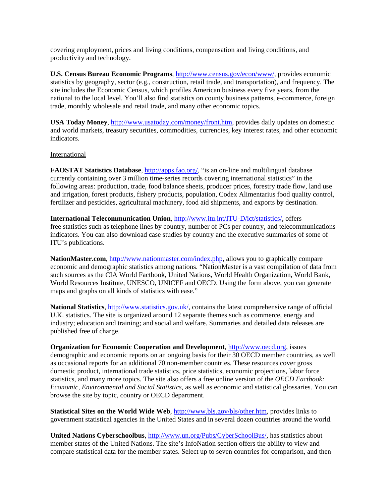covering employment, prices and living conditions, compensation and living conditions, and productivity and technology.

**U.S. Census Bureau Economic Programs**, http://www.census.gov/econ/www/, provides economic statistics by geography, sector (e.g., construction, retail trade, and transportation), and frequency. The site includes the Economic Census, which profiles American business every five years, from the national to the local level. You'll also find statistics on county business patterns, e-commerce, foreign trade, monthly wholesale and retail trade, and many other economic topics.

**USA Today Money**, http://www.usatoday.com/money/front.htm, provides daily updates on domestic and world markets, treasury securities, commodities, currencies, key interest rates, and other economic indicators.

#### International

**FAOSTAT Statistics Database**, http://apps.fao.org/, "is an on-line and multilingual database currently containing over 3 million time-series records covering international statistics" in the following areas: production, trade, food balance sheets, producer prices, forestry trade flow, land use and irrigation, forest products, fishery products, population, Codex Alimentarius food quality control, fertilizer and pesticides, agricultural machinery, food aid shipments, and exports by destination.

**International Telecommunication Union**, http://www.itu.int/ITU-D/ict/statistics/, offers free statistics such as telephone lines by country, number of PCs per country, and telecommunications indicators. You can also download case studies by country and the executive summaries of some of ITU's publications.

**NationMaster.com**, http://www.nationmaster.com/index.php, allows you to graphically compare economic and demographic statistics among nations. "NationMaster is a vast compilation of data from such sources as the CIA World Factbook, United Nations, World Health Organization, World Bank, World Resources Institute, UNESCO, UNICEF and OECD. Using the form above, you can generate maps and graphs on all kinds of statistics with ease."

**National Statistics**, http://www.statistics.gov.uk/, contains the latest comprehensive range of official U.K. statistics. The site is organized around 12 separate themes such as commerce, energy and industry; education and training; and social and welfare. Summaries and detailed data releases are published free of charge.

**Organization for Economic Cooperation and Development**, http://www.oecd.org, issues demographic and economic reports on an ongoing basis for their 30 OECD member countries, as well as occasional reports for an additional 70 non-member countries. These resources cover gross domestic product, international trade statistics, price statistics, economic projections, labor force statistics, and many more topics. The site also offers a free online version of the *OECD Factbook: Economic, Environmental and Social Statistics*, as well as economic and statistical glossaries. You can browse the site by topic, country or OECD department.

**Statistical Sites on the World Wide Web**, http://www.bls.gov/bls/other.htm, provides links to government statistical agencies in the United States and in several dozen countries around the world.

**United Nations Cyberschoolbus**, http://www.un.org/Pubs/CyberSchoolBus/, has statistics about member states of the United Nations. The site's InfoNation section offers the ability to view and compare statistical data for the member states. Select up to seven countries for comparison, and then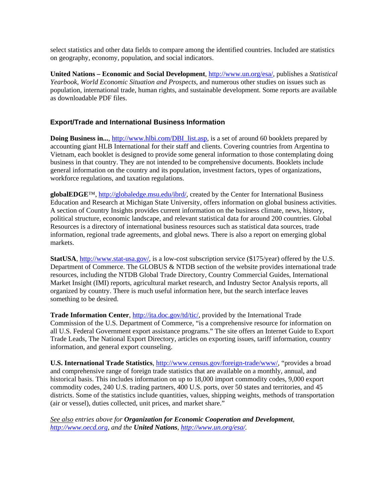select statistics and other data fields to compare among the identified countries. Included are statistics on geography, economy, population, and social indicators.

**United Nations – Economic and Social Development**, http://www.un.org/esa/, publishes a *Statistical Yearbook*, *World Economic Situation and Prospects*, and numerous other studies on issues such as population, international trade, human rights, and sustainable development. Some reports are available as downloadable PDF files.

# **Export/Trade and International Business Information**

**Doing Business in...,** http://www.hlbi.com/DBI\_list.asp, is a set of around 60 booklets prepared by accounting giant HLB International for their staff and clients. Covering countries from Argentina to Vietnam, each booklet is designed to provide some general information to those contemplating doing business in that country. They are not intended to be comprehensive documents. Booklets include general information on the country and its population, investment factors, types of organizations, workforce regulations, and taxation regulations.

**globalEDGE**™, http://globaledge.msu.edu/ibrd/, created by the Center for International Business Education and Research at Michigan State University, offers information on global business activities. A section of Country Insights provides current information on the business climate, news, history, political structure, economic landscape, and relevant statistical data for around 200 countries. Global Resources is a directory of international business resources such as statistical data sources, trade information, regional trade agreements, and global news. There is also a report on emerging global markets.

**StatUSA**, http://www.stat-usa.gov/, is a low-cost subscription service (\$175/year) offered by the U.S. Department of Commerce. The GLOBUS & NTDB section of the website provides international trade resources, including the NTDB Global Trade Directory, Country Commercial Guides, International Market Insight (IMI) reports, agricultural market research, and Industry Sector Analysis reports, all organized by country. There is much useful information here, but the search interface leaves something to be desired.

**Trade Information Center**, http://ita.doc.gov/td/tic/, provided by the International Trade Commission of the U.S. Department of Commerce, "is a comprehensive resource for information on all U.S. Federal Government export assistance programs." The site offers an Internet Guide to Export Trade Leads, The National Export Directory, articles on exporting issues, tariff information, country information, and general export counseling.

U.S. International Trade Statistics, http://www.census.gov/foreign-trade/www/, "provides a broad and comprehensive range of foreign trade statistics that are available on a monthly, annual, and historical basis. This includes information on up to 18,000 import commodity codes, 9,000 export commodity codes, 240 U.S. trading partners, 400 U.S. ports, over 50 states and territories, and 45 districts. Some of the statistics include quantities, values, shipping weights, methods of transportation (air or vessel), duties collected, unit prices, and market share."

*See also entries above for Organization for Economic Cooperation and Development, http://www.oecd.org, and the United Nations, http://www.un.org/esa/.*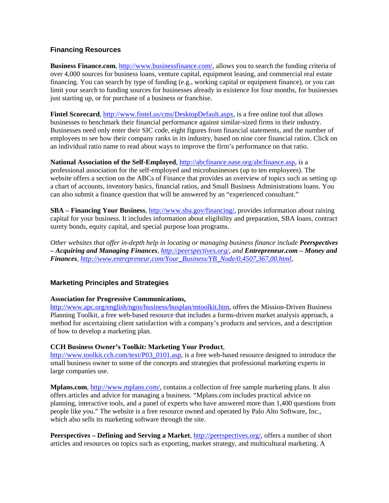# **Financing Resources**

**Business Finance.com**, http://www.businessfinance.com/, allows you to search the funding criteria of over 4,000 sources for business loans, venture capital, equipment leasing, and commercial real estate financing. You can search by type of funding (e.g., working capital or equipment finance), or you can limit your search to funding sources for businesses already in existence for four months, for businesses just starting up, or for purchase of a business or franchise.

**Fintel Scorecard**, http://www.fintel.us/cms/DesktopDefault.aspx, is a free online tool that allows businesses to benchmark their financial performance against similar-sized firms in their industry. Businesses need only enter their SIC code, eight figures from financial statements, and the number of employees to see how their company ranks in its industry, based on nine core financial ratios. Click on an individual ratio name to read about ways to improve the firm's performance on that ratio.

## **National Association of the Self-Employed**, http://abcfinance.nase.org/abcfinance.asp, is a

professional association for the self-employed and microbusinesses (up to ten employees). The website offers a section on the ABCs of Finance that provides an overview of topics such as setting up a chart of accounts, inventory basics, financial ratios, and Small Business Administrations loans. You can also submit a finance question that will be answered by an "experienced consultant."

**SBA – Financing Your Business**, http://www.sba.gov/financing/, provides information about raising capital for your business. It includes information about eligibility and preparation, SBA loans, contract surety bonds, equity capital, and special purpose loan programs.

*Other websites that offer in-depth help in locating or managing business finance include Peerspectives – Acquiring and Managing Finances, http://peerspectives.org/, and Entrepreneur.com – Money and Finances, http://www.entrepreneur.com/Your\_Business/YB\_Node/0,4507,367,00.html,* 

# **Marketing Principles and Strategies**

## **Association for Progressive Communications,**

http://www.apc.org/english/ngos/business/busplan/mtoolkit.htm, offers the Mission-Driven Business Planning Toolkit, a free web-based resource that includes a forms-driven market analysis approach, a method for ascertaining client satisfaction with a company's products and services, and a description of how to develop a marketing plan.

## **CCH Business Owner's Toolkit: Marketing Your Product**,

http://www.toolkit.cch.com/text/P03\_0101.asp, is a free web-based resource designed to introduce the small business owner to some of the concepts and strategies that professional marketing experts in large companies use.

**Mplans.com**, http://www.mplans.com/, contains a collection of free sample marketing plans. It also offers articles and advice for managing a business. "Mplans.com includes practical advice on planning, interactive tools, and a panel of experts who have answered more than 1,400 questions from people like you." The website is a free resource owned and operated by Palo Alto Software, Inc., which also sells its marketing software through the site.

**Peerspectives – Defining and Serving a Market**, http://peerspectives.org/, offers a number of short articles and resources on topics such as exporting, market strategy, and multicultural marketing. A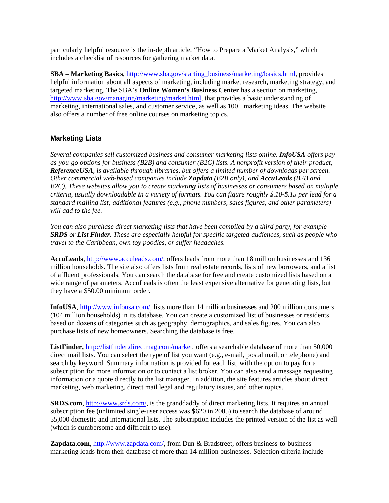particularly helpful resource is the in-depth article, "How to Prepare a Market Analysis," which includes a checklist of resources for gathering market data.

**SBA – Marketing Basics**, http://www.sba.gov/starting\_business/marketing/basics.html, provides helpful information about all aspects of marketing, including market research, marketing strategy, and targeted marketing. The SBA's **Online Women's Business Center** has a section on marketing, http://www.sba.gov/managing/marketing/market.html, that provides a basic understanding of marketing, international sales, and customer service, as well as 100+ marketing ideas. The website also offers a number of free online courses on marketing topics.

## **Marketing Lists**

*Several companies sell customized business and consumer marketing lists online. InfoUSA offers payas-you-go options for business (B2B) and consumer (B2C) lists. A nonprofit version of their product, ReferenceUSA, is available through libraries, but offers a limited number of downloads per screen. Other commercial web-based companies include Zapdata (B2B only), and AccuLeads (B2B and B2C). These websites allow you to create marketing lists of businesses or consumers based on multiple criteria, usually downloadable in a variety of formats. You can figure roughly \$.10-\$.15 per lead for a standard mailing list; additional features (e.g., phone numbers, sales figures, and other parameters) will add to the fee.* 

*You can also purchase direct marketing lists that have been compiled by a third party, for example SRDS or List Finder. These are especially helpful for specific targeted audiences, such as people who travel to the Caribbean, own toy poodles, or suffer headaches.* 

**AccuLeads**, http://www.acculeads.com/, offers leads from more than 18 million businesses and 136 million households. The site also offers lists from real estate records, lists of new borrowers, and a list of affluent professionals. You can search the database for free and create customized lists based on a wide range of parameters. AccuLeads is often the least expensive alternative for generating lists, but they have a \$50.00 minimum order.

**InfoUSA**, http://www.infousa.com/, lists more than 14 million businesses and 200 million consumers (104 million households) in its database. You can create a customized list of businesses or residents based on dozens of categories such as geography, demographics, and sales figures. You can also purchase lists of new homeowners. Searching the database is free.

**ListFinder**, http://listfinder.directmag.com/market, offers a searchable database of more than 50,000 direct mail lists. You can select the type of list you want (e.g., e-mail, postal mail, or telephone) and search by keyword. Summary information is provided for each list, with the option to pay for a subscription for more information or to contact a list broker. You can also send a message requesting information or a quote directly to the list manager. In addition, the site features articles about direct marketing, web marketing, direct mail legal and regulatory issues, and other topics.

**SRDS.com**, http://www.srds.com/, is the granddaddy of direct marketing lists. It requires an annual subscription fee (unlimited single-user access was \$620 in 2005) to search the database of around 55,000 domestic and international lists. The subscription includes the printed version of the list as well (which is cumbersome and difficult to use).

Zapdata.com, http://www.zapdata.com/, from Dun & Bradstreet, offers business-to-business marketing leads from their database of more than 14 million businesses. Selection criteria include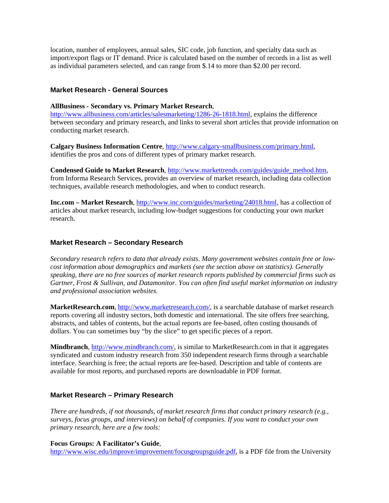location, number of employees, annual sales, SIC code, job function, and specialty data such as import/export flags or IT demand. Price is calculated based on the number of records in a list as well as individual parameters selected, and can range from \$.14 to more than \$2.00 per record.

## **Market Research - General Sources**

#### **AllBusiness - Secondary vs. Primary Market Research**,

http://www.allbusiness.com/articles/salesmarketing/1286-26-1818.html, explains the difference between secondary and primary research, and links to several short articles that provide information on conducting market research.

**Calgary Business Information Centre**, http://www.calgary-smallbusiness.com/primary.html, identifies the pros and cons of different types of primary market research.

**Condensed Guide to Market Research**, http://www.markettrends.com/guides/guide\_method.htm, from Informa Research Services, provides an overview of market research, including data collection techniques, available research methodologies, and when to conduct research.

**Inc.com – Market Research**, http://www.inc.com/guides/marketing/24018.html, has a collection of articles about market research, including low-budget suggestions for conducting your own market research.

### **Market Research – Secondary Research**

*Secondary research refers to data that already exists. Many government websites contain free or lowcost information about demographics and markets (see the section above on statistics). Generally speaking, there are no free sources of market research reports published by commercial firms such as Gartner, Frost & Sullivan, and Datamonitor. You can often find useful market information on industry and professional association websites.* 

**MarketResearch.com**, http://www.marketresearch.com/, is a searchable database of market research reports covering all industry sectors, both domestic and international. The site offers free searching, abstracts, and tables of contents, but the actual reports are fee-based, often costing thousands of dollars. You can sometimes buy "by the slice" to get specific pieces of a report.

**Mindbranch**, http://www.mindbranch.com/, is similar to MarketResearch.com in that it aggregates syndicated and custom industry research from 350 independent research firms through a searchable interface. Searching is free; the actual reports are fee-based. Description and table of contents are available for most reports, and purchased reports are downloadable in PDF format.

## **Market Research – Primary Research**

*There are hundreds, if not thousands, of market research firms that conduct primary research (e.g., surveys, focus groups, and interviews) on behalf of companies. If you want to conduct your own primary research, here are a few tools:* 

**Focus Groups: A Facilitator's Guide**,

http://www.wisc.edu/improve/improvement/focusgroupsguide.pdf, is a PDF file from the University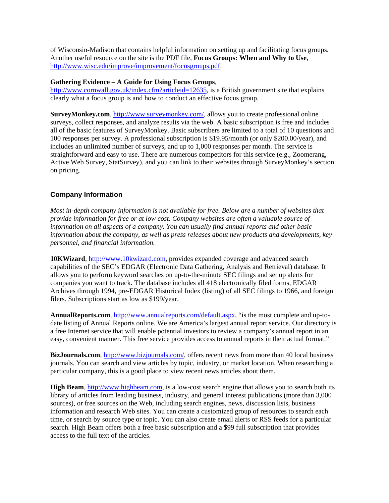of Wisconsin-Madison that contains helpful information on setting up and facilitating focus groups. Another useful resource on the site is the PDF file, **Focus Groups: When and Why to Use**, http://www.wisc.edu/improve/improvement/focusgroups.pdf.

## **Gathering Evidence – A Guide for Using Focus Groups**,

http://www.cornwall.gov.uk/index.cfm?articleid=12635, is a British government site that explains clearly what a focus group is and how to conduct an effective focus group.

**SurveyMonkey.com**, http://www.surveymonkey.com/, allows you to create professional online surveys, collect responses, and analyze results via the web. A basic subscription is free and includes all of the basic features of SurveyMonkey. Basic subscribers are limited to a total of 10 questions and 100 responses per survey. A professional subscription is \$19.95/month (or only \$200.00/year), and includes an unlimited number of surveys, and up to 1,000 responses per month. The service is straightforward and easy to use. There are numerous competitors for this service (e.g., Zoomerang, Active Web Survey, StatSurvey), and you can link to their websites through SurveyMonkey's section on pricing.

# **Company Information**

*Most in-depth company information is not available for free. Below are a number of websites that provide information for free or at low cost. Company websites are often a valuable source of information on all aspects of a company. You can usually find annual reports and other basic information about the company, as well as press releases about new products and developments, key personnel, and financial information.* 

**10KWizard**, http://www.10kwizard.com, provides expanded coverage and advanced search capabilities of the SEC's EDGAR (Electronic Data Gathering, Analysis and Retrieval) database. It allows you to perform keyword searches on up-to-the-minute SEC filings and set up alerts for companies you want to track. The database includes all 418 electronically filed forms, EDGAR Archives through 1994, pre-EDGAR Historical Index (listing) of all SEC filings to 1966, and foreign filers. Subscriptions start as low as \$199/year.

**AnnualReports.com**, http://www.annualreports.com/default.aspx, "is the most complete and up-todate listing of Annual Reports online. We are America's largest annual report service. Our directory is a free Internet service that will enable potential investors to review a company's annual report in an easy, convenient manner. This free service provides access to annual reports in their actual format."

**BizJournals.com**, http://www.bizjournals.com/, offers recent news from more than 40 local business journals. You can search and view articles by topic, industry, or market location. When researching a particular company, this is a good place to view recent news articles about them.

**High Beam**, http://www.highbeam.com, is a low-cost search engine that allows you to search both its library of articles from leading business, industry, and general interest publications (more than 3,000 sources), or free sources on the Web, including search engines, news, discussion lists, business information and research Web sites. You can create a customized group of resources to search each time, or search by source type or topic. You can also create email alerts or RSS feeds for a particular search. High Beam offers both a free basic subscription and a \$99 full subscription that provides access to the full text of the articles.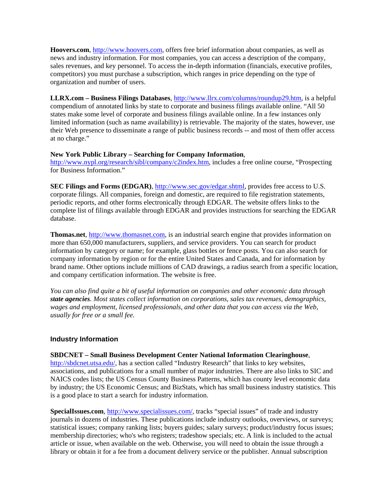**Hoovers.com**, http://www.hoovers.com, offers free brief information about companies, as well as news and industry information. For most companies, you can access a description of the company, sales revenues, and key personnel. To access the in-depth information (financials, executive profiles, competitors) you must purchase a subscription, which ranges in price depending on the type of organization and number of users.

**LLRX.com – Business Filings Databases**, http://www.llrx.com/columns/roundup29.htm, is a helpful compendium of annotated links by state to corporate and business filings available online. "All 50 states make some level of corporate and business filings available online. In a few instances only limited information (such as name availability) is retrievable. The majority of the states, however, use their Web presence to disseminate a range of public business records -- and most of them offer access at no charge."

### **New York Public Library – Searching for Company Information**,

http://www.nypl.org/research/sibl/company/c2index.htm, includes a free online course, "Prospecting for Business Information."

**SEC Filings and Forms (EDGAR)**, http://www.sec.gov/edgar.shtml, provides free access to U.S. corporate filings. All companies, foreign and domestic, are required to file registration statements, periodic reports, and other forms electronically through EDGAR. The website offers links to the complete list of filings available through EDGAR and provides instructions for searching the EDGAR database.

**Thomas.net**, http://www.thomasnet.com, is an industrial search engine that provides information on more than 650,000 manufacturers, suppliers, and service providers. You can search for product information by category or name; for example, glass bottles or fence posts. You can also search for company information by region or for the entire United States and Canada, and for information by brand name. Other options include millions of CAD drawings, a radius search from a specific location, and company certification information. The website is free.

*You can also find quite a bit of useful information on companies and other economic data through state agencies. Most states collect information on corporations, sales tax revenues, demographics, wages and employment, licensed professionals, and other data that you can access via the Web, usually for free or a small fee.* 

## **Industry Information**

**SBDCNET – Small Business Development Center National Information Clearinghouse**, http://sbdcnet.utsa.edu/, has a section called "Industry Research" that links to key websites, associations, and publications for a small number of major industries. There are also links to SIC and NAICS codes lists; the US Census County Business Patterns, which has county level economic data by industry; the US Economic Census; and BizStats, which has small business industry statistics. This is a good place to start a search for industry information.

**SpecialIssues.com**, http://www.specialissues.com/, tracks "special issues" of trade and industry journals in dozens of industries. These publications include industry outlooks, overviews, or surveys; statistical issues; company ranking lists; buyers guides; salary surveys; product/industry focus issues; membership directories; who's who registers; tradeshow specials; etc. A link is included to the actual article or issue, when available on the web. Otherwise, you will need to obtain the issue through a library or obtain it for a fee from a document delivery service or the publisher. Annual subscription